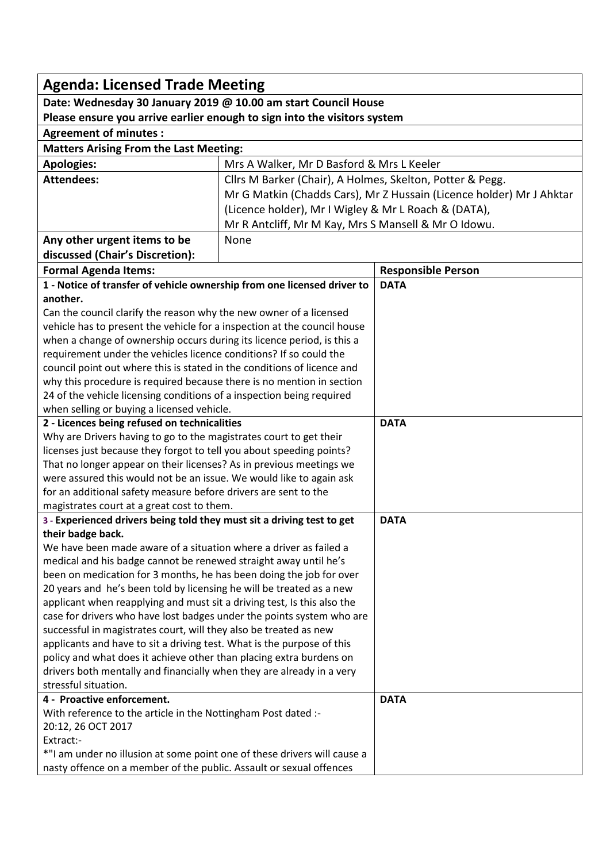| <b>Agenda: Licensed Trade Meeting</b>                                                                                                        |                                                                      |                           |  |  |
|----------------------------------------------------------------------------------------------------------------------------------------------|----------------------------------------------------------------------|---------------------------|--|--|
| Date: Wednesday 30 January 2019 @ 10.00 am start Council House                                                                               |                                                                      |                           |  |  |
| Please ensure you arrive earlier enough to sign into the visitors system                                                                     |                                                                      |                           |  |  |
| <b>Agreement of minutes:</b>                                                                                                                 |                                                                      |                           |  |  |
| <b>Matters Arising From the Last Meeting:</b>                                                                                                |                                                                      |                           |  |  |
| <b>Apologies:</b>                                                                                                                            | Mrs A Walker, Mr D Basford & Mrs L Keeler                            |                           |  |  |
| <b>Attendees:</b>                                                                                                                            | Cllrs M Barker (Chair), A Holmes, Skelton, Potter & Pegg.            |                           |  |  |
|                                                                                                                                              | Mr G Matkin (Chadds Cars), Mr Z Hussain (Licence holder) Mr J Ahktar |                           |  |  |
|                                                                                                                                              | (Licence holder), Mr I Wigley & Mr L Roach & (DATA),                 |                           |  |  |
|                                                                                                                                              | Mr R Antcliff, Mr M Kay, Mrs S Mansell & Mr O Idowu.                 |                           |  |  |
| Any other urgent items to be                                                                                                                 | None                                                                 |                           |  |  |
| discussed (Chair's Discretion):                                                                                                              |                                                                      |                           |  |  |
| <b>Formal Agenda Items:</b>                                                                                                                  |                                                                      | <b>Responsible Person</b> |  |  |
| 1 - Notice of transfer of vehicle ownership from one licensed driver to                                                                      |                                                                      | <b>DATA</b>               |  |  |
| another.                                                                                                                                     |                                                                      |                           |  |  |
| Can the council clarify the reason why the new owner of a licensed                                                                           |                                                                      |                           |  |  |
| vehicle has to present the vehicle for a inspection at the council house                                                                     |                                                                      |                           |  |  |
| when a change of ownership occurs during its licence period, is this a                                                                       |                                                                      |                           |  |  |
| requirement under the vehicles licence conditions? If so could the                                                                           |                                                                      |                           |  |  |
| council point out where this is stated in the conditions of licence and                                                                      |                                                                      |                           |  |  |
| why this procedure is required because there is no mention in section                                                                        |                                                                      |                           |  |  |
| 24 of the vehicle licensing conditions of a inspection being required                                                                        |                                                                      |                           |  |  |
| when selling or buying a licensed vehicle.                                                                                                   |                                                                      |                           |  |  |
| 2 - Licences being refused on technicalities                                                                                                 |                                                                      | <b>DATA</b>               |  |  |
| Why are Drivers having to go to the magistrates court to get their<br>licenses just because they forgot to tell you about speeding points?   |                                                                      |                           |  |  |
| That no longer appear on their licenses? As in previous meetings we                                                                          |                                                                      |                           |  |  |
| were assured this would not be an issue. We would like to again ask                                                                          |                                                                      |                           |  |  |
| for an additional safety measure before drivers are sent to the                                                                              |                                                                      |                           |  |  |
| magistrates court at a great cost to them.                                                                                                   |                                                                      |                           |  |  |
| 3 - Experienced drivers being told they must sit a driving test to get                                                                       |                                                                      | <b>DATA</b>               |  |  |
| their badge back.                                                                                                                            |                                                                      |                           |  |  |
| We have been made aware of a situation where a driver as failed a                                                                            |                                                                      |                           |  |  |
| medical and his badge cannot be renewed straight away until he's                                                                             |                                                                      |                           |  |  |
| been on medication for 3 months, he has been doing the job for over                                                                          |                                                                      |                           |  |  |
| 20 years and he's been told by licensing he will be treated as a new                                                                         |                                                                      |                           |  |  |
| applicant when reapplying and must sit a driving test, Is this also the                                                                      |                                                                      |                           |  |  |
| case for drivers who have lost badges under the points system who are                                                                        |                                                                      |                           |  |  |
| successful in magistrates court, will they also be treated as new                                                                            |                                                                      |                           |  |  |
| applicants and have to sit a driving test. What is the purpose of this                                                                       |                                                                      |                           |  |  |
| policy and what does it achieve other than placing extra burdens on<br>drivers both mentally and financially when they are already in a very |                                                                      |                           |  |  |
| stressful situation.                                                                                                                         |                                                                      |                           |  |  |
| 4 - Proactive enforcement.                                                                                                                   |                                                                      | <b>DATA</b>               |  |  |
| With reference to the article in the Nottingham Post dated :-                                                                                |                                                                      |                           |  |  |
| 20:12, 26 OCT 2017                                                                                                                           |                                                                      |                           |  |  |
| Extract:-                                                                                                                                    |                                                                      |                           |  |  |
| *"I am under no illusion at some point one of these drivers will cause a                                                                     |                                                                      |                           |  |  |
| nasty offence on a member of the public. Assault or sexual offences                                                                          |                                                                      |                           |  |  |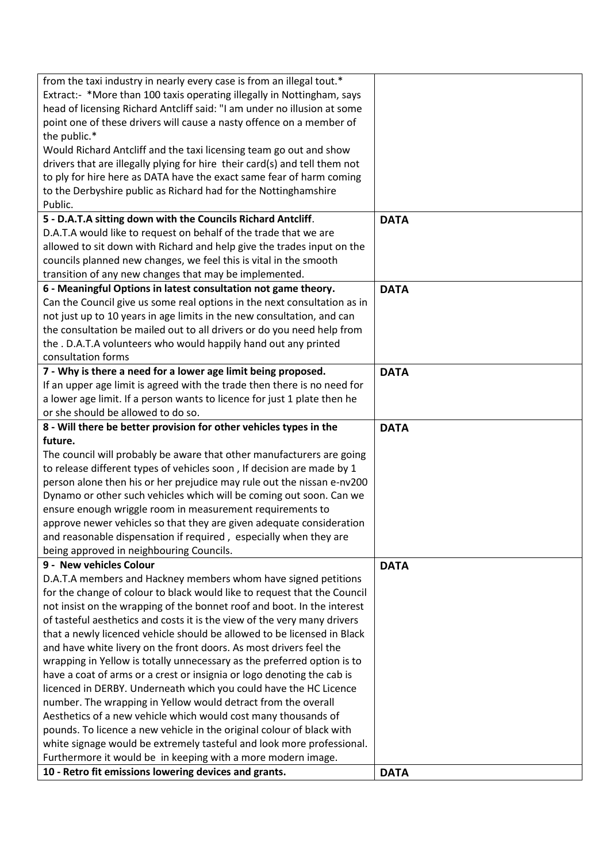| from the taxi industry in nearly every case is from an illegal tout.*                                                 |             |
|-----------------------------------------------------------------------------------------------------------------------|-------------|
| Extract:- *More than 100 taxis operating illegally in Nottingham, says                                                |             |
| head of licensing Richard Antcliff said: "I am under no illusion at some                                              |             |
| point one of these drivers will cause a nasty offence on a member of                                                  |             |
| the public.*                                                                                                          |             |
| Would Richard Antcliff and the taxi licensing team go out and show                                                    |             |
| drivers that are illegally plying for hire their card(s) and tell them not                                            |             |
| to ply for hire here as DATA have the exact same fear of harm coming                                                  |             |
| to the Derbyshire public as Richard had for the Nottinghamshire                                                       |             |
| Public.                                                                                                               |             |
| 5 - D.A.T.A sitting down with the Councils Richard Antcliff.                                                          | <b>DATA</b> |
| D.A.T.A would like to request on behalf of the trade that we are                                                      |             |
| allowed to sit down with Richard and help give the trades input on the                                                |             |
| councils planned new changes, we feel this is vital in the smooth                                                     |             |
| transition of any new changes that may be implemented.                                                                |             |
| 6 - Meaningful Options in latest consultation not game theory.                                                        | <b>DATA</b> |
| Can the Council give us some real options in the next consultation as in                                              |             |
| not just up to 10 years in age limits in the new consultation, and can                                                |             |
| the consultation be mailed out to all drivers or do you need help from                                                |             |
| the . D.A.T.A volunteers who would happily hand out any printed                                                       |             |
| consultation forms                                                                                                    |             |
| 7 - Why is there a need for a lower age limit being proposed.                                                         | <b>DATA</b> |
| If an upper age limit is agreed with the trade then there is no need for                                              |             |
| a lower age limit. If a person wants to licence for just 1 plate then he                                              |             |
| or she should be allowed to do so.                                                                                    |             |
| 8 - Will there be better provision for other vehicles types in the                                                    | <b>DATA</b> |
| future.                                                                                                               |             |
| The council will probably be aware that other manufacturers are going                                                 |             |
| to release different types of vehicles soon, If decision are made by 1                                                |             |
| person alone then his or her prejudice may rule out the nissan e-nv200                                                |             |
| Dynamo or other such vehicles which will be coming out soon. Can we                                                   |             |
| ensure enough wriggle room in measurement requirements to                                                             |             |
| approve newer vehicles so that they are given adequate consideration                                                  |             |
| and reasonable dispensation if required, especially when they are                                                     |             |
| being approved in neighbouring Councils.<br>9 - New vehicles Colour                                                   |             |
|                                                                                                                       | <b>DATA</b> |
| D.A.T.A members and Hackney members whom have signed petitions                                                        |             |
| for the change of colour to black would like to request that the Council                                              |             |
| not insist on the wrapping of the bonnet roof and boot. In the interest                                               |             |
| of tasteful aesthetics and costs it is the view of the very many drivers                                              |             |
| that a newly licenced vehicle should be allowed to be licensed in Black                                               |             |
| and have white livery on the front doors. As most drivers feel the                                                    |             |
| wrapping in Yellow is totally unnecessary as the preferred option is to                                               |             |
| have a coat of arms or a crest or insignia or logo denoting the cab is                                                |             |
| licenced in DERBY. Underneath which you could have the HC Licence                                                     |             |
| number. The wrapping in Yellow would detract from the overall                                                         |             |
| Aesthetics of a new vehicle which would cost many thousands of                                                        |             |
| pounds. To licence a new vehicle in the original colour of black with                                                 |             |
| white signage would be extremely tasteful and look more professional.                                                 |             |
| Furthermore it would be in keeping with a more modern image.<br>10 - Retro fit emissions lowering devices and grants. |             |
|                                                                                                                       | <b>DATA</b> |